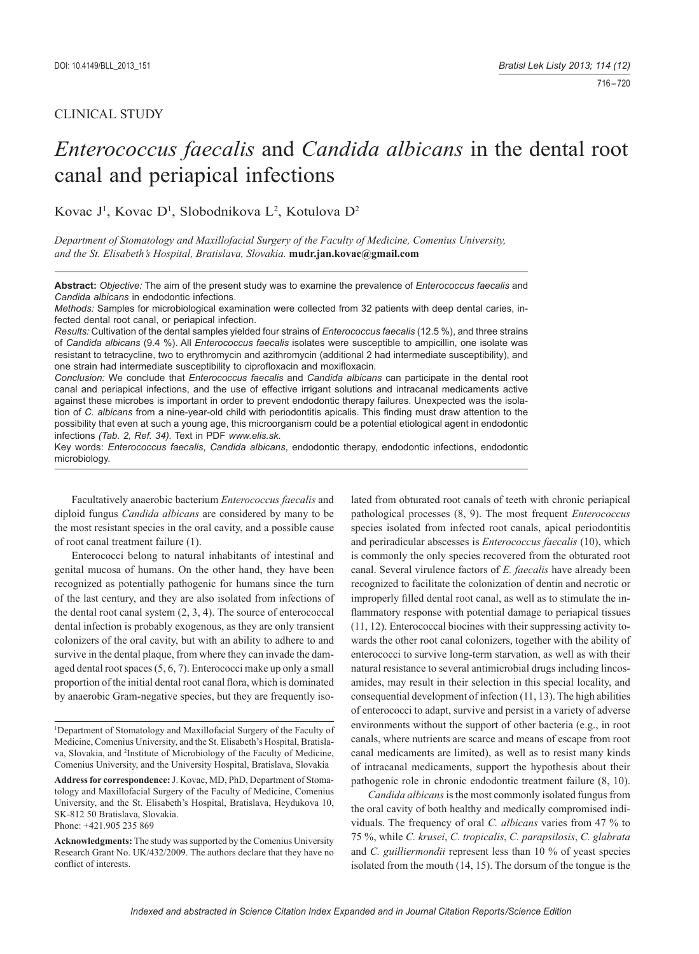# CLINICAL STUDY

# *Enterococcus faecalis* and *Candida albicans* in the dental root canal and periapical infections

# Kovac J<sup>1</sup>, Kovac D<sup>1</sup>, Slobodnikova L<sup>2</sup>, Kotulova D<sup>2</sup>

*Department of Stomatology and Maxillofacial Surgery of the Faculty of Medicine, Comenius University, and the St. Elisabeth's Hospital, Bratislava, Slovakia.* **mudr.jan.kovac@gmail.com**

**Abstract:** *Objective:* The aim of the present study was to examine the prevalence of *Enterococcus faecalis* and *Candida albicans* in endodontic infections.

*Methods:* Samples for microbiological examination were collected from 32 patients with deep dental caries, infected dental root canal, or periapical infection.

*Results:* Cultivation of the dental samples yielded four strains of *Enterococcus faecalis* (12.5 %), and three strains of *Candida albicans* (9.4 %). All *Enterococcus faecalis* isolates were susceptible to ampicillin, one isolate was resistant to tetracycline, two to erythromycin and azithromycin (additional 2 had intermediate susceptibility), and one strain had intermediate susceptibility to ciprofloxacin and moxifloxacin.

*Conclusion:* We conclude that *Enterococcus faecalis* and *Candida albicans* can participate in the dental root canal and periapical infections, and the use of effective irrigant solutions and intracanal medicaments active against these microbes is important in order to prevent endodontic therapy failures. Unexpected was the isolation of *C. albicans* from a nine-year-old child with periodontitis apicalis. This finding must draw attention to the possibility that even at such a young age, this microorganism could be a potential etiological agent in endodontic infections *(Tab. 2, Ref. 34).* Text in PDF *www.elis.sk.*

Key words: *Enterococcus faecalis*, *Candida albicans*, endodontic therapy, endodontic infections, endodontic microbiology.

Facultatively anaerobic bacterium *Enterococcus faecalis* and diploid fungus *Candida albicans* are considered by many to be the most resistant species in the oral cavity, and a possible cause of root canal treatment failure (1).

Enterococci belong to natural inhabitants of intestinal and genital mucosa of humans. On the other hand, they have been recognized as potentially pathogenic for humans since the turn of the last century, and they are also isolated from infections of the dental root canal system (2, 3, 4). The source of enterococcal dental infection is probably exogenous, as they are only transient colonizers of the oral cavity, but with an ability to adhere to and survive in the dental plaque, from where they can invade the damaged dental root spaces (5, 6, 7). Enterococci make up only a small proportion of the initial dental root canal flora, which is dominated by anaerobic Gram-negative species, but they are frequently iso-

lated from obturated root canals of teeth with chronic periapical pathological processes (8, 9). The most frequent *Enterococcus*  species isolated from infected root canals, apical periodontitis and periradicular abscesses is *Enterococcus faecalis* (10), which is commonly the only species recovered from the obturated root canal. Several virulence factors of *E. faecalis* have already been recognized to facilitate the colonization of dentin and necrotic or improperly filled dental root canal, as well as to stimulate the inflammatory response with potential damage to periapical tissues (11, 12). Enterococcal biocines with their suppressing activity towards the other root canal colonizers, together with the ability of enterococci to survive long-term starvation, as well as with their natural resistance to several antimicrobial drugs including lincosamides, may result in their selection in this special locality, and consequential development of infection (11, 13). The high abilities of enterococci to adapt, survive and persist in a variety of adverse environments without the support of other bacteria (e.g., in root canals, where nutrients are scarce and means of escape from root canal medicaments are limited), as well as to resist many kinds of intracanal medicaments, support the hypothesis about their pathogenic role in chronic endodontic treatment failure  $(8, 10)$ .

*Candida albicans* is the most commonly isolated fungus from the oral cavity of both healthy and medically compromised individuals. The frequency of oral *C. albicans* varies from 47 % to 75 %, while *C. krusei*, *C. tropicalis*, *C. parapsilosis*, *C. glabrata* and *C. guilliermondii* represent less than 10 % of yeast species isolated from the mouth (14, 15). The dorsum of the tongue is the

<sup>&</sup>lt;sup>1</sup>Department of Stomatology and Maxillofacial Surgery of the Faculty of Medicine, Comenius University, and the St. Elisabeth's Hospital, Bratislava, Slovakia, and <sup>2</sup>Institute of Microbiology of the Faculty of Medicine, Comenius University, and the University Hospital, Bratislava, Slovakia

**Address for correspondence:** J. Kovac, MD, PhD, Department of Stomatology and Maxillofacial Surgery of the Faculty of Medicine, Comenius University, and the St. Elisabeth's Hospital, Bratislava, Heydukova 10, SK-812 50 Bratislava, Slovakia. Phone: +421.905 235 869

**Acknowledgments:** The study was supported by the Comenius University Research Grant No. UK/432/2009. The authors declare that they have no conflict of interests.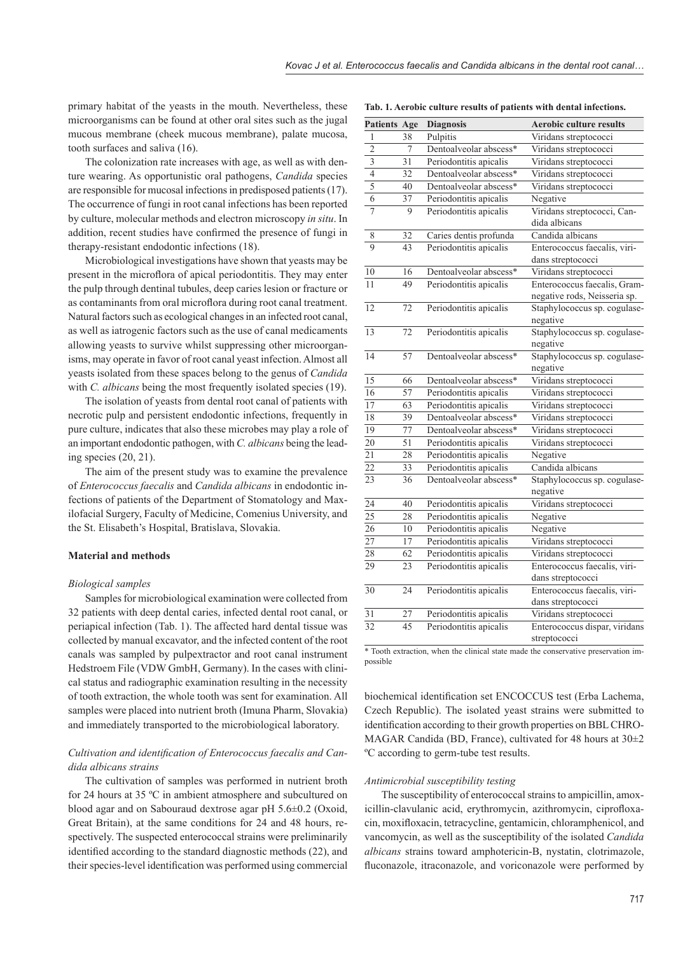primary habitat of the yeasts in the mouth. Nevertheless, these microorganisms can be found at other oral sites such as the jugal mucous membrane (cheek mucous membrane), palate mucosa, tooth surfaces and saliva (16).

The colonization rate increases with age, as well as with denture wearing. As opportunistic oral pathogens, *Candida* species are responsible for mucosal infections in predisposed patients (17). The occurrence of fungi in root canal infections has been reported by culture, molecular methods and electron microscopy *in situ*. In addition, recent studies have confirmed the presence of fungi in therapy-resistant endodontic infections (18).

Microbiological investigations have shown that yeasts may be present in the microflora of apical periodontitis. They may enter the pulp through dentinal tubules, deep caries lesion or fracture or as contaminants from oral microflora during root canal treatment. Natural factors such as ecological changes in an infected root canal, as well as iatrogenic factors such as the use of canal medicaments allowing yeasts to survive whilst suppressing other microorganisms, may operate in favor of root canal yeast infection. Almost all yeasts isolated from these spaces belong to the genus of *Candida* with *C. albicans* being the most frequently isolated species (19).

The isolation of yeasts from dental root canal of patients with necrotic pulp and persistent endodontic infections, frequently in pure culture, indicates that also these microbes may play a role of an important endodontic pathogen, with *C. albicans* being the leading species (20, 21).

The aim of the present study was to examine the prevalence of *Enterococcus faecalis* and *Candida albicans* in endodontic infections of patients of the Department of Stomatology and Maxilofacial Surgery, Faculty of Medicine, Comenius University, and the St. Elisabeth's Hospital, Bratislava, Slovakia.

#### **Material and methods**

#### *Biological samples*

Samples for microbiological examination were collected from 32 patients with deep dental caries, infected dental root canal, or periapical infection (Tab. 1). The affected hard dental tissue was collected by manual excavator, and the infected content of the root canals was sampled by pulpextractor and root canal instrument Hedstroem File (VDW GmbH, Germany). In the cases with clinical status and radiographic examination resulting in the necessity of tooth extraction, the whole tooth was sent for examination. All samples were placed into nutrient broth (Imuna Pharm, Slovakia) and immediately transported to the microbiological laboratory.

### Cultivation and identification of Enterococcus faecalis and Can*dida albicans strains*

The cultivation of samples was performed in nutrient broth for 24 hours at 35 ºC in ambient atmosphere and subcultured on blood agar and on Sabouraud dextrose agar pH 5.6±0.2 (Oxoid, Great Britain), at the same conditions for 24 and 48 hours, respectively. The suspected enterococcal strains were preliminarily identified according to the standard diagnostic methods (22), and their species-level identification was performed using commercial

| <b>Patients Age</b>     |                 | <b>Diagnosis</b>       | <b>Aerobic culture results</b> |
|-------------------------|-----------------|------------------------|--------------------------------|
| 1                       | 38              | Pulpitis               | Viridans streptococci          |
| $\overline{2}$          | 7               | Dentoalveolar abscess* | Viridans streptococci          |
| $\overline{\mathbf{3}}$ | $\overline{31}$ | Periodontitis apicalis | Viridans streptococci          |
| $\overline{4}$          | 32              | Dentoalveolar abscess* | Viridans streptococci          |
| $\overline{5}$          | 40              | Dentoalveolar abscess* | Viridans streptococci          |
| 6                       | 37              | Periodontitis apicalis | Negative                       |
| $\overline{7}$          | 9               | Periodontitis apicalis | Viridans streptococci, Can-    |
|                         |                 |                        | dida albicans                  |
| 8                       | 32              | Caries dentis profunda | Candida albicans               |
| $\overline{9}$          | 43              | Periodontitis apicalis | Enterococcus faecalis, viri-   |
|                         |                 |                        | dans streptococci              |
| 10                      | 16              | Dentoalveolar abscess* | Viridans streptococci          |
| 11                      | 49              | Periodontitis apicalis | Enterococcus faecalis, Gram-   |
|                         |                 |                        | negative rods, Neisseria sp.   |
| 12                      | $\overline{72}$ | Periodontitis apicalis | Staphylococcus sp. cogulase-   |
|                         |                 |                        | negative                       |
| 13                      | 72              | Periodontitis apicalis | Staphylococcus sp. cogulase-   |
|                         |                 |                        | negative                       |
| 14                      | 57              | Dentoalveolar abscess* | Staphylococcus sp. cogulase-   |
|                         |                 |                        | negative                       |
| 15                      | 66              | Dentoalveolar abscess* | Viridans streptococci          |
| 16                      | 57              | Periodontitis apicalis | Viridans streptococci          |
| 17                      | 63              | Periodontitis apicalis | Viridans streptococci          |
| 18                      | 39              | Dentoalveolar abscess* | Viridans streptococci          |
| 19                      | 77              | Dentoalveolar abscess* | Viridans streptococci          |
| 20                      | 51              | Periodontitis apicalis | Viridans streptococci          |
| 21                      | 28              | Periodontitis apicalis | Negative                       |
| 22                      | 33              | Periodontitis apicalis | Candida albicans               |
| 23                      | 36              | Dentoalveolar abscess* | Staphylococcus sp. cogulase-   |
|                         |                 |                        | negative                       |
| 24                      | 40              | Periodontitis apicalis | Viridans streptococci          |
| $\overline{25}$         | 28              | Periodontitis apicalis | Negative                       |
| 26                      | 10              | Periodontitis apicalis | Negative                       |
| 27                      | 17              | Periodontitis apicalis | Viridans streptococci          |
| 28                      | 62              | Periodontitis apicalis | Viridans streptococci          |
| 29                      | 23              | Periodontitis apicalis | Enterococcus faecalis, viri-   |
|                         |                 |                        | dans streptococci              |
| 30                      | 24              | Periodontitis apicalis | Enterococcus faecalis, viri-   |
|                         |                 |                        | dans streptococci              |
| 31                      | 27              | Periodontitis apicalis | Viridans streptococci          |
| $\overline{32}$         | 45              | Periodontitis apicalis | Enterococcus dispar, viridans  |
|                         |                 |                        | streptococci                   |

**Tab. 1. Aerobic culture results of patients with dental infections.**

\* Tooth extraction, when the clinical state made the conservative preservation impossible

biochemical identification set ENCOCCUS test (Erba Lachema, Czech Republic). The isolated yeast strains were submitted to identification according to their growth properties on BBL CHRO-MAGAR Candida (BD, France), cultivated for 48 hours at 30±2 ºC according to germ-tube test results.

#### *Antimicrobial susceptibility testing*

The susceptibility of enterococcal strains to ampicillin, amoxicillin-clavulanic acid, erythromycin, azithromycin, ciprofloxacin, moxifloxacin, tetracycline, gentamicin, chloramphenicol, and vancomycin, as well as the susceptibility of the isolated *Candida albicans* strains toward amphotericin-B, nystatin, clotrimazole, fluconazole, itraconazole, and voriconazole were performed by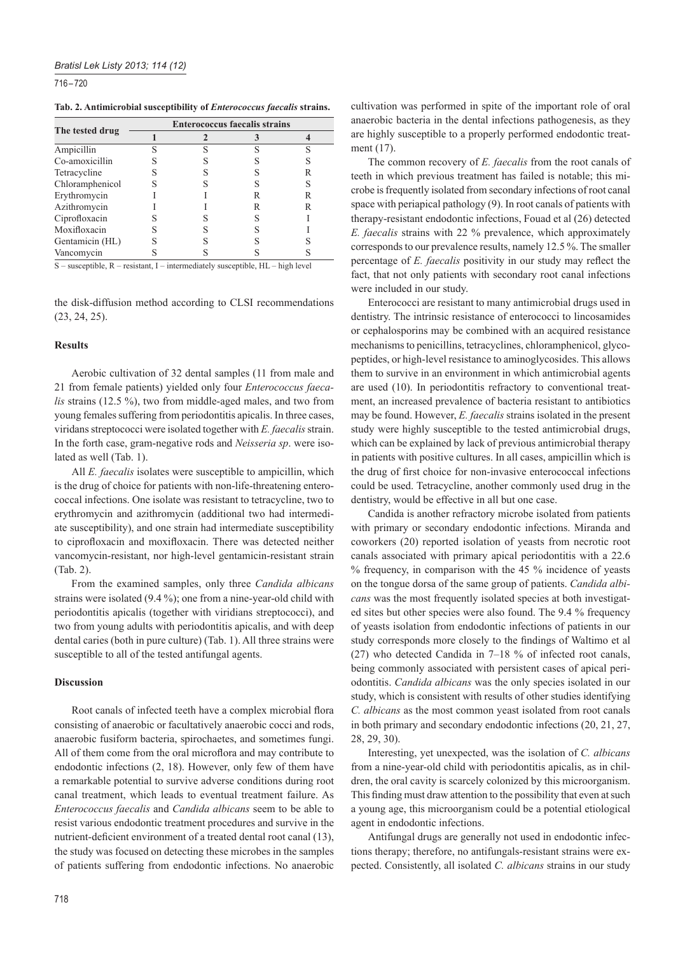716 – 720

| Tab. 2. Antimicrobial susceptibility of <i>Enterococcus faecalis</i> strains. |  |  |  |  |
|-------------------------------------------------------------------------------|--|--|--|--|
|-------------------------------------------------------------------------------|--|--|--|--|

|                 | <b>Enterococcus faecalis strains</b> |  |   |   |  |  |
|-----------------|--------------------------------------|--|---|---|--|--|
| The tested drug |                                      |  |   |   |  |  |
| Ampicillin      |                                      |  | c | ς |  |  |
| Co-amoxicillin  |                                      |  |   |   |  |  |
| Tetracycline    |                                      |  |   | R |  |  |
| Chloramphenicol |                                      |  |   |   |  |  |
| Erythromycin    |                                      |  |   | R |  |  |
| Azithromycin    |                                      |  |   | R |  |  |
| Ciprofloxacin   |                                      |  |   |   |  |  |
| Moxifloxacin    |                                      |  |   |   |  |  |
| Gentamicin (HL) |                                      |  |   |   |  |  |
| Vancomycin      |                                      |  |   |   |  |  |

S – susceptible, R – resistant, I – intermediately susceptible, HL – high level

the disk-diffusion method according to CLSI recommendations (23, 24, 25).

#### **Results**

Aerobic cultivation of 32 dental samples (11 from male and 21 from female patients) yielded only four *Enterococcus faecalis* strains (12.5 %), two from middle-aged males, and two from young females suffering from periodontitis apicalis. In three cases, viridans streptococci were isolated together with *E. faecalis* strain. In the forth case, gram-negative rods and *Neisseria sp*. were isolated as well (Tab. 1).

All *E. faecalis* isolates were susceptible to ampicillin, which is the drug of choice for patients with non-life-threatening enterococcal infections. One isolate was resistant to tetracycline, two to erythromycin and azithromycin (additional two had intermediate susceptibility), and one strain had intermediate susceptibility to ciprofloxacin and moxifloxacin. There was detected neither vancomycin-resistant, nor high-level gentamicin-resistant strain (Tab. 2).

From the examined samples, only three *Candida albicans* strains were isolated (9.4 %); one from a nine-year-old child with periodontitis apicalis (together with viridians streptococci), and two from young adults with periodontitis apicalis, and with deep dental caries (both in pure culture) (Tab. 1). All three strains were susceptible to all of the tested antifungal agents.

#### **Discussion**

Root canals of infected teeth have a complex microbial flora consisting of anaerobic or facultatively anaerobic cocci and rods, anaerobic fusiform bacteria, spirochaetes, and sometimes fungi. All of them come from the oral microflora and may contribute to endodontic infections (2, 18). However, only few of them have a remarkable potential to survive adverse conditions during root canal treatment, which leads to eventual treatment failure. As *Enterococcus faecalis* and *Candida albicans* seem to be able to resist various endodontic treatment procedures and survive in the nutrient-deficient environment of a treated dental root canal (13), the study was focused on detecting these microbes in the samples of patients suffering from endodontic infections. No anaerobic

cultivation was performed in spite of the important role of oral anaerobic bacteria in the dental infections pathogenesis, as they are highly susceptible to a properly performed endodontic treatment (17).

The common recovery of *E. faecalis* from the root canals of teeth in which previous treatment has failed is notable; this microbe is frequently isolated from secondary infections of root canal space with periapical pathology (9). In root canals of patients with therapy-resistant endodontic infections, Fouad et al (26) detected *E. faecalis* strains with 22 % prevalence, which approximately corresponds to our prevalence results, namely 12.5 %. The smaller percentage of *E. faecalis* positivity in our study may reflect the fact, that not only patients with secondary root canal infections were included in our study.

Enterococci are resistant to many antimicrobial drugs used in dentistry. The intrinsic resistance of enterococci to lincosamides or cephalosporins may be combined with an acquired resistance mechanisms to penicillins, tetracyclines, chloramphenicol, glycopeptides, or high-level resistance to aminoglycosides. This allows them to survive in an environment in which antimicrobial agents are used (10). In periodontitis refractory to conventional treatment, an increased prevalence of bacteria resistant to antibiotics may be found. However, *E. faecalis* strains isolated in the present study were highly susceptible to the tested antimicrobial drugs, which can be explained by lack of previous antimicrobial therapy in patients with positive cultures. In all cases, ampicillin which is the drug of first choice for non-invasive enterococcal infections could be used. Tetracycline, another commonly used drug in the dentistry, would be effective in all but one case.

Candida is another refractory microbe isolated from patients with primary or secondary endodontic infections. Miranda and coworkers (20) reported isolation of yeasts from necrotic root canals associated with primary apical periodontitis with a 22.6 % frequency, in comparison with the 45 % incidence of yeasts on the tongue dorsa of the same group of patients. *Candida albicans* was the most frequently isolated species at both investigated sites but other species were also found. The 9.4 % frequency of yeasts isolation from endodontic infections of patients in our study corresponds more closely to the findings of Waltimo et al (27) who detected Candida in 7–18 % of infected root canals, being commonly associated with persistent cases of apical periodontitis. *Candida albicans* was the only species isolated in our study, which is consistent with results of other studies identifying *C. albicans* as the most common yeast isolated from root canals in both primary and secondary endodontic infections (20, 21, 27, 28, 29, 30).

Interesting, yet unexpected, was the isolation of *C. albicans* from a nine-year-old child with periodontitis apicalis, as in children, the oral cavity is scarcely colonized by this microorganism. This finding must draw attention to the possibility that even at such a young age, this microorganism could be a potential etiological agent in endodontic infections.

Antifungal drugs are generally not used in endodontic infections therapy; therefore, no antifungals-resistant strains were expected. Consistently, all isolated *C. albicans* strains in our study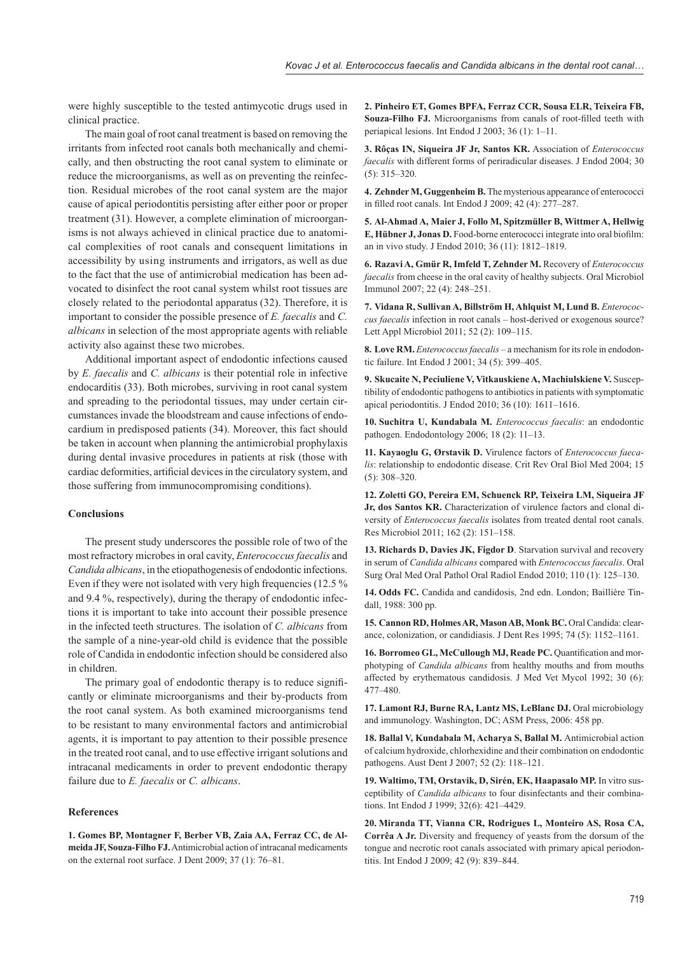were highly susceptible to the tested antimycotic drugs used in clinical practice.

The main goal of root canal treatment is based on removing the irritants from infected root canals both mechanically and chemically, and then obstructing the root canal system to eliminate or reduce the microorganisms, as well as on preventing the reinfection. Residual microbes of the root canal system are the major cause of apical periodontitis persisting after either poor or proper treatment (31). However, a complete elimination of microorganisms is not always achieved in clinical practice due to anatomical complexities of root canals and consequent limitations in accessibility by using instruments and irrigators, as well as due to the fact that the use of antimicrobial medication has been advocated to disinfect the root canal system whilst root tissues are closely related to the periodontal apparatus (32). Therefore, it is important to consider the possible presence of *E. faecalis* and *C. albicans* in selection of the most appropriate agents with reliable activity also against these two microbes.

Additional important aspect of endodontic infections caused by *E. faecalis* and *C. albicans* is their potential role in infective endocarditis (33). Both microbes, surviving in root canal system and spreading to the periodontal tissues, may under certain circumstances invade the bloodstream and cause infections of endocardium in predisposed patients (34). Moreover, this fact should be taken in account when planning the antimicrobial prophylaxis during dental invasive procedures in patients at risk (those with cardiac deformities, artificial devices in the circulatory system, and those suffering from immunocompromising conditions).

## **Conclusions**

The present study underscores the possible role of two of the most refractory microbes in oral cavity, *Enterococcus faecalis* and *Candida albicans*, in the etiopathogenesis of endodontic infections. Even if they were not isolated with very high frequencies (12.5 % and 9.4 %, respectively), during the therapy of endodontic infections it is important to take into account their possible presence in the infected teeth structures. The isolation of *C. albicans* from the sample of a nine-year-old child is evidence that the possible role of Candida in endodontic infection should be considered also in children.

The primary goal of endodontic therapy is to reduce significantly or eliminate microorganisms and their by-products from the root canal system. As both examined microorganisms tend to be resistant to many environmental factors and antimicrobial agents, it is important to pay attention to their possible presence in the treated root canal, and to use effective irrigant solutions and intracanal medicaments in order to prevent endodontic therapy failure due to *E. faecalis* or *C. albicans*.

## **References**

**1. Gomes BP, Montagner F, Berber VB, Zaia AA, Ferraz CC, de Almeida JF, Souza-Filho FJ.** Antimicrobial action of intracanal medicaments on the external root surface. J Dent 2009; 37 (1): 76–81.

**2. Pinheiro ET, Gomes BPFA, Ferraz CCR, Sousa ELR, Teixeira FB, Souza-Filho FJ.** Microorganisms from canals of root-filled teeth with periapical lesions. Int Endod J 2003; 36 (1): 1–11.

**3. Rôças IN, Siqueira JF Jr, Santos KR.** Association of *Enterococcus faecalis* with different forms of periradicular diseases. J Endod 2004; 30 (5): 315–320.

**4. Zehnder M, Guggenheim B.** The mysterious appearance of enterococci in filled root canals. Int Endod J 2009; 42 (4): 277-287.

**5. Al-Ahmad A, Maier J, Follo M, Spitzmüller B, Wittmer A, Hellwig E, Hübner J, Jonas D.** Food-borne enterococci integrate into oral biofilm: an in vivo study. J Endod 2010; 36 (11): 1812–1819.

**6. Razavi A, Gmür R, Imfeld T, Zehnder M.** Recovery of *Enterococcus faecalis* from cheese in the oral cavity of healthy subjects. Oral Microbiol Immunol 2007; 22 (4): 248–251.

**7. Vidana R, Sullivan A, Billström H, Ahlquist M, Lund B.** *Enterococcus faecalis* infection in root canals – host-derived or exogenous source? Lett Appl Microbiol 2011; 52 (2): 109–115.

**8. Love RM.** *Enterococcus faecalis* – a mechanism for its role in endodontic failure. Int Endod J 2001; 34 (5): 399–405.

**9. Skucaite N, Peciuliene V, Vitkauskiene A, Machiulskiene V.** Susceptibility of endodontic pathogens to antibiotics in patients with symptomatic apical periodontitis. J Endod 2010; 36 (10): 1611–1616.

**10. Suchitra U, Kundabala M.** *Enterococcus faecalis*: an endodontic pathogen. Endodontology 2006; 18 (2): 11–13.

**11. Kayaoglu G, Ørstavik D.** Virulence factors of *Enterococcus faecalis*: relationship to endodontic disease. Crit Rev Oral Biol Med 2004; 15 (5): 308–320.

**12. Zoletti GO, Pereira EM, Schuenck RP, Teixeira LM, Siqueira JF Jr, dos Santos KR.** Characterization of virulence factors and clonal diversity of *Enterococcus faecalis* isolates from treated dental root canals. Res Microbiol 2011; 162 (2): 151–158.

**13. Richards D, Davies JK, Figdor D**. Starvation survival and recovery in serum of *Candida albicans* compared with *Enterococcus faecalis*. Oral Surg Oral Med Oral Pathol Oral Radiol Endod 2010; 110 (1): 125–130.

**14. Odds FC.** Candida and candidosis, 2nd edn. London; Baillière Tindall, 1988: 300 pp.

**15. Cannon RD, Holmes AR, Mason AB, Monk BC.** Oral Candida: clearance, colonization, or candidiasis. J Dent Res 1995; 74 (5): 1152–1161.

**16. Borromeo GL, McCullough MJ, Reade PC, Quantification and mor**photyping of *Candida albicans* from healthy mouths and from mouths affected by erythematous candidosis. J Med Vet Mycol 1992; 30 (6): 477–480.

**17. Lamont RJ, Burne RA, Lantz MS, LeBlanc DJ.** Oral microbiology and immunology. Washington, DC; ASM Press, 2006: 458 pp.

**18. Ballal V, Kundabala M, Acharya S, Ballal M.** Antimicrobial action of calcium hydroxide, chlorhexidine and their combination on endodontic pathogens. Aust Dent J 2007; 52 (2): 118–121.

**19. Waltimo, TM, Orstavik, D, Sirén, EK, Haapasalo MP.** In vitro susceptibility of *Candida albicans* to four disinfectants and their combinations. Int Endod J 1999; 32(6): 421–4429.

**20. Miranda TT, Vianna CR, Rodrigues L, Monteiro AS, Rosa CA, Corrêa A Jr.** Diversity and frequency of yeasts from the dorsum of the tongue and necrotic root canals associated with primary apical periodontitis. Int Endod J 2009; 42 (9): 839–844.